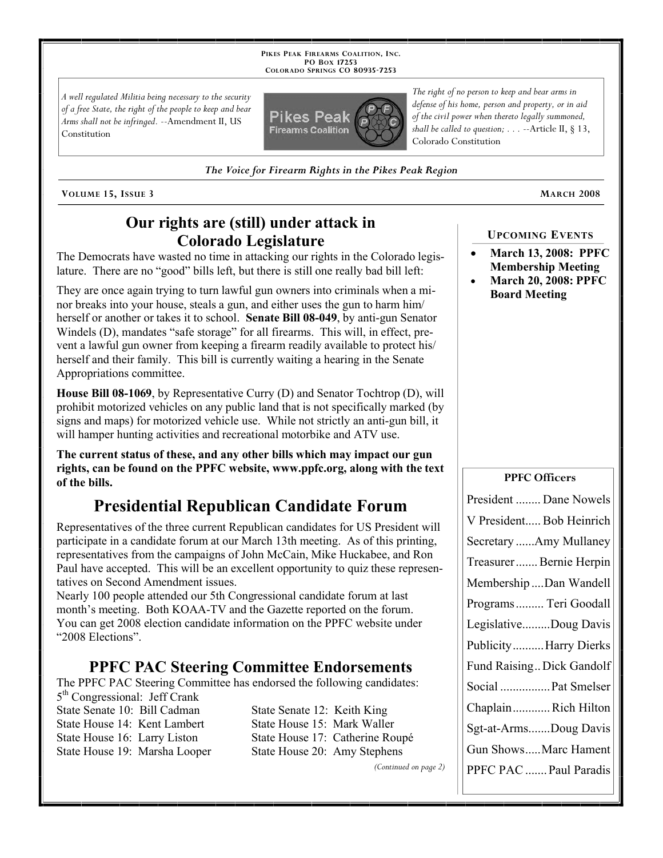**PIKES PEAK FIREARMS COALITION, INC. PO BOX 17253 COLORADO SPRINGS CO 80935 -7253**

*A well regulated Militia being necessary to the security of a free State, the right of the people to keep and bear Arms shall not be infringed.* --Amendment II, US Constitution



*The right of no person to keep and bear arms in defense of his home, person and property, or in aid of the civil power when thereto legally summoned, shall be called to question; . . .* --Article II, § 13, Colorado Constitution

*The Voice for Firearm Rights in the Pikes Peak Region*

**VOLUME 15, ISSUE 3 MARCH 2008**

## **Our rights are (still) under attack in Colorado Legislature**

The Democrats have wasted no time in attacking our rights in the Colorado legislature. There are no "good" bills left, but there is still one really bad bill left:

They are once again trying to turn lawful gun owners into criminals when a minor breaks into your house, steals a gun, and either uses the gun to harm him/ herself or another or takes it to school. **Senate Bill 08-049**, by anti-gun Senator Windels (D), mandates "safe storage" for all firearms. This will, in effect, prevent a lawful gun owner from keeping a firearm readily available to protect his/ herself and their family. This bill is currently waiting a hearing in the Senate Appropriations committee.

**House Bill 08-1069**, by Representative Curry (D) and Senator Tochtrop (D), will prohibit motorized vehicles on any public land that is not specifically marked (by signs and maps) for motorized vehicle use. While not strictly an anti-gun bill, it will hamper hunting activities and recreational motorbike and ATV use.

**The current status of these, and any other bills which may impact our gun rights, can be found on the PPFC website, www.ppfc.org, along with the text of the bills.** 

# **Presidential Republican Candidate Forum**

Representatives of the three current Republican candidates for US President will participate in a candidate forum at our March 13th meeting. As of this printing, representatives from the campaigns of John McCain, Mike Huckabee, and Ron Paul have accepted. This will be an excellent opportunity to quiz these representatives on Second Amendment issues.

Nearly 100 people attended our 5th Congressional candidate forum at last month's meeting. Both KOAA-TV and the Gazette reported on the forum. You can get 2008 election candidate information on the PPFC website under "2008 Elections".

## **PPFC PAC Steering Committee Endorsements**

The PPFC PAC Steering Committee has endorsed the following candidates:

5th Congressional: Jeff Crank State Senate 10: Bill Cadman State Senate 12: Keith King State House 14: Kent Lambert State House 15: Mark Waller State House 19: Marsha Looper State House 20: Amy Stephens

State House 16: Larry Liston State House 17: Catherine Roupé

*(Continued on page 2)*

**UPCOMING EVENTS**

- **March 13, 2008: PPFC Membership Meeting**
- **March 20, 2008: PPFC Board Meeting**

#### **PPFC Officers**

| President  Dane Nowels    |
|---------------------------|
| V President Bob Heinrich  |
| Secretary Amy Mullaney    |
| Treasurer Bernie Herpin   |
| Membership Dan Wandell    |
| Programs  Teri Goodall    |
| LegislativeDoug Davis     |
| PublicityHarry Dierks     |
| Fund Raising Dick Gandolf |
| Social  Pat Smelser       |
| ChaplainRich Hilton       |
| Sgt-at-ArmsDoug Davis     |
| Gun ShowsMarc Hament      |
| PPFC PAC  Paul Paradis    |